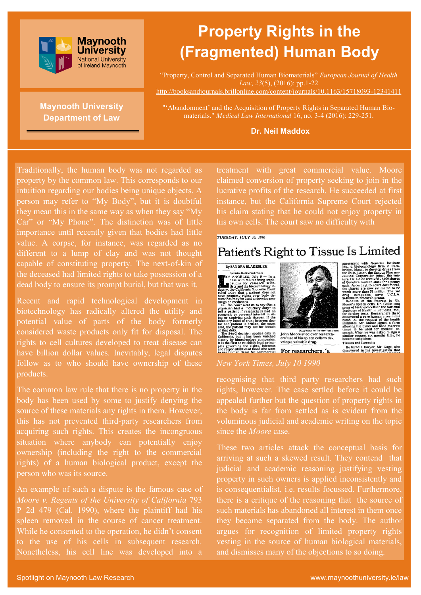

# **Maynooth University Department of Law**

# **Property Rights in the (Fragmented) Human Body**

"Property, Control and Separated Human Biomaterials" *European Journal of Health Law*, *23*(5), (2016): pp.1-22 [http://booksandjournals.brillonline.com/content/journals/10.1163/15718093](http://booksandjournals.brillonline.com/content/journals/10.1163/15718093-12341411)-12341411

"'Abandonment' and the Acquisition of Property Rights in Separated Human Biomaterials." *Medical Law International* 16, no. 3-4 (2016): 229-251.

#### **Dr. Neil Maddox**

Traditionally, the human body was not regarded as property by the common law. This corresponds to our intuition regarding our bodies being unique objects. A person may refer to "My Body", but it is doubtful they mean this in the same way as when they say "My Car" or "My Phone". The distinction was of little importance until recently given that bodies had little value. A corpse, for instance, was regarded as no different to a lump of clay and was not thought capable of constituting property. The next-of-kin of the deceased had limited rights to take possession of a dead body to ensure its prompt burial, but that was it.

Recent and rapid technological development in biotechnology has radically altered the utility and potential value of parts of the body formerly considered waste products only fit for disposal. The rights to cell cultures developed to treat disease can have billion dollar values. Inevitably, legal disputes follow as to who should have ownership of these products.

The common law rule that there is no property in the body has been used by some to justify denying the source of these materials any rights in them. However, this has not prevented third-party researchers from acquiring such rights. This creates the incongruous situation where anybody can potentially enjoy ownership (including the right to the commercial rights) of a human biological product, except the person who was its source.

An example of such a dispute is the famous case of *Moore v. Regents of the University of California* 793 P 2d 479 (Cal. 1990), where the plaintiff had his spleen removed in the course of cancer treatment. While he consented to the operation, he didn't consent to the use of his cells in subsequent research. Nonetheless, his cell line was developed into a treatment with great commercial value. Moore claimed conversion of property seeking to join in the lucrative profits of the research. He succeeded at first instance, but the California Supreme Court rejected his claim stating that he could not enjoy property in his own cells. The court saw no difficulty with

#### **TUESDAY, HILY 10, 1990**

# Patient's Right to Tissue Is Limited





ceutical Corpo<br>ture. Dr. Golde<br>of Genetics Ins<br>each. Accordin<br>the shares are ical Corp<br>Dr. Gold of Genetics Institute stock for a penny<br>each. According to court documents, the shares are now estimated to be<br>each. North more than \$3 million. The two<br>worth more than \$3 million. The two<br>worth more than \$3 million. The t me suspicious.<br>ue<mark>s and Lawsui</mark>ts

He hired a lawyer, Mr. Gage, who<br>discovered in his investigation that

#### *New York Times, July 10 1990*

recognising that third party researchers had such rights, however. The case settled before it could be appealed further but the question of property rights in the body is far from settled as is evident from the voluminous judicial and academic writing on the topic since the *Moore* case.

These two articles attack the conceptual basis for arriving at such a skewed result. They contend that judicial and academic reasoning justifying vesting property in such owners is applied inconsistently and is consequentialist, i.e. results focussed. Furthermore, there is a critique of the reasoning that the source of such materials has abandoned all interest in them once they become separated from the body. The author argues for recognition of limited property rights vesting in the source of human biological materials, and dismisses many of the objections to so doing.